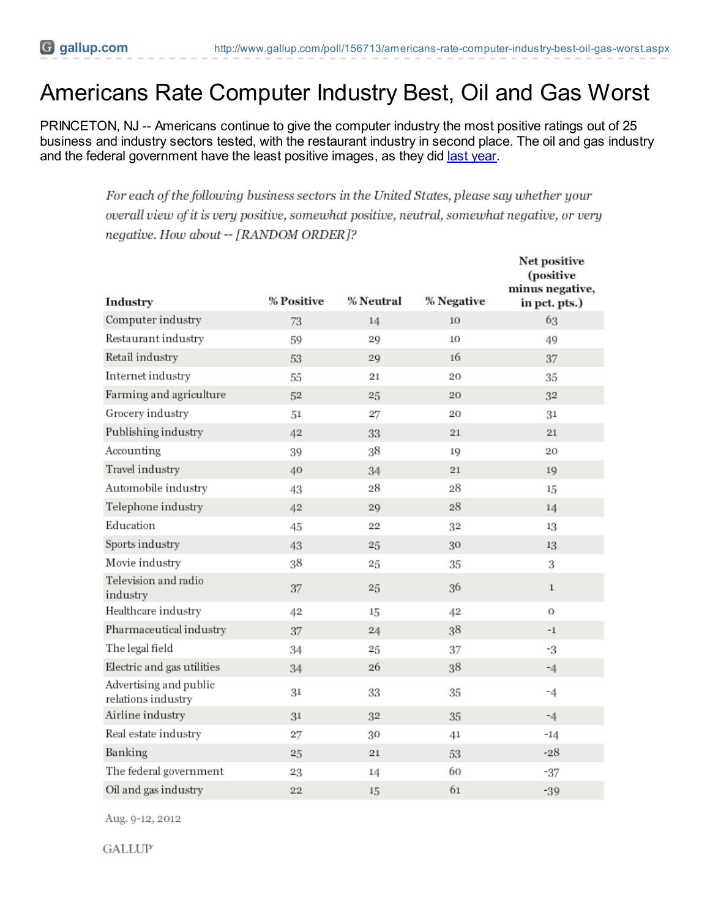# Americans Rate Computer Industry Best, Oil and Gas Worst

PRINCETON, NJ -- Americans continue to give the computer industry the most positive ratings out of 25 business and industry sectors tested, with the restaurant industry in second place. The oil and gas industry and the federal government have the least positive images, as they did last [year](http://previewwww.gallup.com/poll/149216/Americans-Rate-Computer-Industry-Best-Federal-Gov-Worst.aspx).

> For each of the following business sectors in the United States, please say whether your overall view of it is very positive, somewhat positive, neutral, somewhat negative, or very negative. How about -- [RANDOM ORDER]?

| Industry                                     | % Positive | <b>% Neutral</b> | % Negative | <b>Net positive</b><br>(positive<br>minus negative,<br>in pct. pts.) |
|----------------------------------------------|------------|------------------|------------|----------------------------------------------------------------------|
| Computer industry                            | 73         | 14               | 10         | 63                                                                   |
| Restaurant industry                          | 59         | 29               | 10         | 49                                                                   |
| Retail industry                              | 53         | 29               | 16         | 37                                                                   |
| Internet industry                            | 55         | 21               | 20         | 35                                                                   |
| Farming and agriculture                      | 52         | 25               | 20         | 32                                                                   |
| Grocery industry                             | 51         | 27               | 20         | 31                                                                   |
| Publishing industry                          | 42         | 33               | 21         | 21                                                                   |
| Accounting                                   | 39         | 38               | 19         | 20                                                                   |
| Travel industry                              | 40         | 34               | 21         | 19                                                                   |
| Automobile industry                          | 43         | 28               | 28         | 15                                                                   |
| Telephone industry                           | 42         | 29               | 28         | 14                                                                   |
| Education                                    | 45         | 22               | 32         | 13                                                                   |
| Sports industry                              | 43         | 25               | 30         | 13                                                                   |
| Movie industry                               | 38         | 25               | 35         | 3                                                                    |
| Television and radio<br>industry             | 37         | 25               | 36         | $\mathbf{1}$                                                         |
| Healthcare industry                          | 42         | 15               | 42         | 0                                                                    |
| Pharmaceutical industry                      | 37         | 24               | 38         | $-1$                                                                 |
| The legal field                              | 34         | 25               | 37         | -3                                                                   |
| Electric and gas utilities                   | 34         | 26               | 38         | $-4$                                                                 |
| Advertising and public<br>relations industry | 31         | 33               | 35         | $-4$                                                                 |
| Airline industry                             | 31         | 32               | 35         | $-4$                                                                 |
| Real estate industry                         | 27         | 30               | 41         | $-14$                                                                |
| Banking                                      | 25         | 21               | 53         | $-28$                                                                |
| The federal government                       | 23         | 14               | 60         | $-37$                                                                |
| Oil and gas industry                         | 22         | 15               | 61         | $-39$                                                                |

Aug. 9-12, 2012

**GALLUP**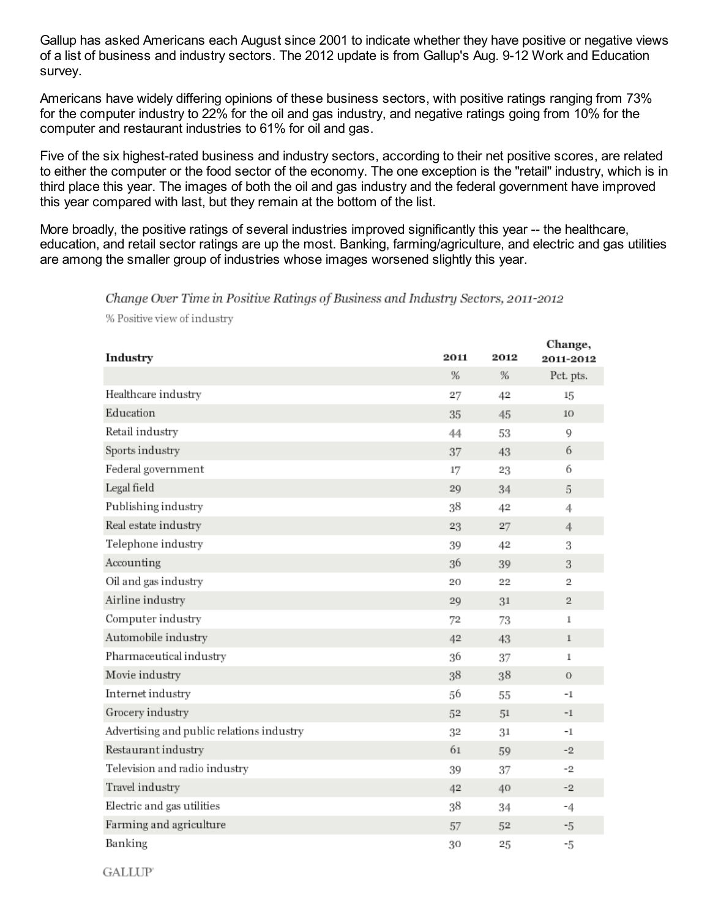Gallup has asked Americans each August since 2001 to indicate whether they have positive or negative views of a list of business and industry sectors. The 2012 update is from Gallup's Aug. 9-12 Work and Education survey.

Americans have widely differing opinions of these business sectors, with positive ratings ranging from 73% for the computer industry to 22% for the oil and gas industry, and negative ratings going from 10% for the computer and restaurant industries to 61% for oil and gas.

Five of the six highest-rated business and industry sectors, according to their net positive scores, are related to either the computer or the food sector of the economy. The one exception is the "retail" industry, which is in third place this year. The images of both the oil and gas industry and the federal government have improved this year compared with last, but they remain at the bottom of the list.

More broadly, the positive ratings of several industries improved significantly this year -- the healthcare, education, and retail sector ratings are up the most. Banking, farming/agriculture, and electric and gas utilities are among the smaller group of industries whose images worsened slightly this year.

#### Change Over Time in Positive Ratings of Business and Industry Sectors, 2011-2012

% Positive view of industry

| Industry                                  | 2011 | 2012 | <b>Change</b> ,<br>2011-2012 |
|-------------------------------------------|------|------|------------------------------|
|                                           | %    | %    | Pct. pts.                    |
| Healthcare industry                       | 27   | 42   | 15                           |
| Education                                 | 35   | 45   | 10                           |
| Retail industry                           | 44   | 53   | 9                            |
| Sports industry                           | 37   | 43   | 6                            |
| Federal government                        | 17   | 23   | 6                            |
| Legal field                               | 29   | 34   | 5                            |
| Publishing industry                       | 38   | 42   | 4                            |
| Real estate industry                      | 23   | 27   | 4                            |
| Telephone industry                        | 39   | 42   | 3                            |
| Accounting                                | 36   | 39   | 3                            |
| Oil and gas industry                      | 20   | 22   | 2                            |
| Airline industry                          | 29   | 31   | $\overline{2}$               |
| Computer industry                         | 72   | 73   | $\mathbbm{1}$                |
| Automobile industry                       | 42   | 43   | $\mathbf{1}$                 |
| Pharmaceutical industry                   | 36   | 37   | $\mathbf{1}$                 |
| Movie industry                            | 38   | 38   | $\sigma$                     |
| Internet industry                         | 56   | 55   | -1                           |
| Grocery industry                          | 52   | 51   | $-1$                         |
| Advertising and public relations industry | 32   | 31   | -1                           |
| Restaurant industry                       | 61   | 59   | $-2$                         |
| Television and radio industry             | 39   | 37   | $-2$                         |
| Travel industry                           | 42   | 40   | $-2$                         |
| Electric and gas utilities                | 38   | 34   | $-4$                         |
| Farming and agriculture                   | 57   | 52   | -5                           |
| Banking                                   | 30   | 25   | -5                           |

**GALLUP**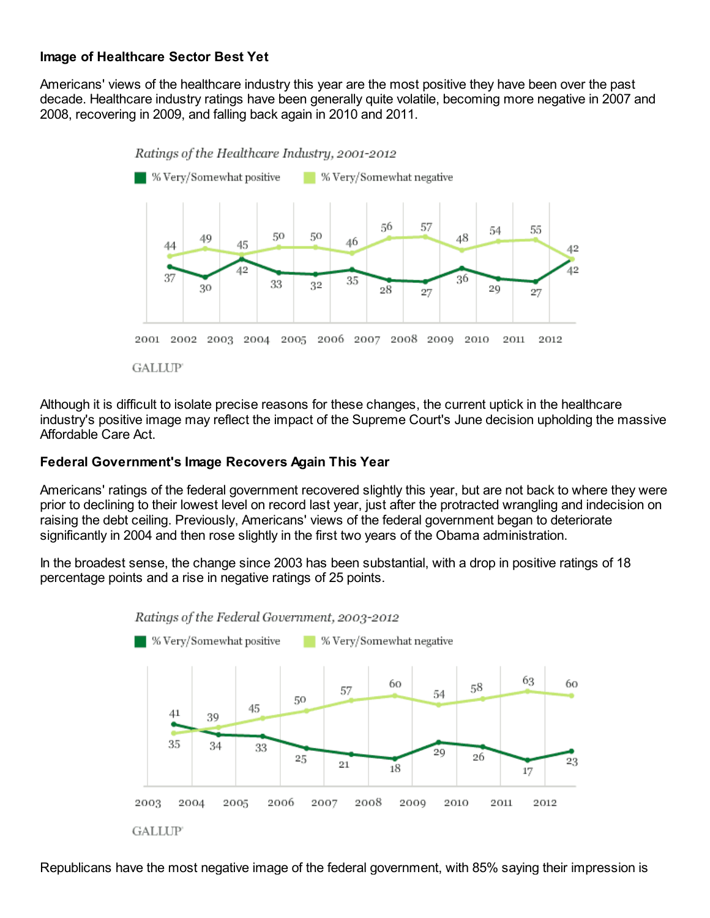# **Image of Healthcare Sector Best Yet**

Americans' views of the healthcare industry this year are the most positive they have been over the past decade. Healthcare industry ratings have been generally quite volatile, becoming more negative in 2007 and 2008, recovering in 2009, and falling back again in 2010 and 2011.



Although it is difficult to isolate precise reasons for these changes, the current uptick in the healthcare industry's positive image may reflect the impact of the Supreme Court's June decision upholding the massive Affordable Care Act.

# **Federal Government's Image Recovers Again This Year**

Americans' ratings of the federal government recovered slightly this year, but are not back to where they were prior to declining to their lowest level on record last year, just after the protracted wrangling and indecision on raising the debt ceiling. Previously, Americans' views of the federal government began to deteriorate significantly in 2004 and then rose slightly in the first two years of the Obama administration.

In the broadest sense, the change since 2003 has been substantial, with a drop in positive ratings of 18 percentage points and a rise in negative ratings of 25 points.





Republicans have the most negative image of the federal government, with 85% saying their impression is

**GALLUP**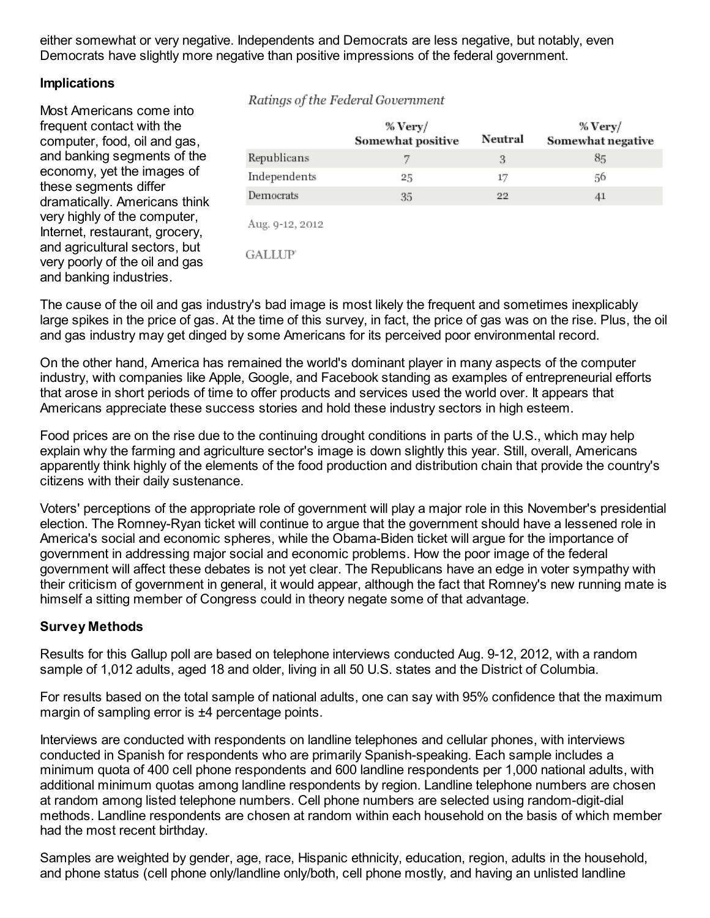either somewhat or very negative. Independents and Democrats are less negative, but notably, even Democrats have slightly more negative than positive impressions of the federal government.

#### **Implications**

Most Americans come into frequent contact with the computer, food, oil and gas, and banking segments of the economy, yet the images of these segments differ dramatically. Americans think very highly of the computer, Internet, restaurant, grocery, and agricultural sectors, but very poorly of the oil and gas and banking industries.

#### Ratings of the Federal Government

|                                  | $% \, \mathrm{Very} /$<br>Somewhat positive | Neutral | $\%$ Very/<br>Somewhat negative |
|----------------------------------|---------------------------------------------|---------|---------------------------------|
| Republicans                      | 7                                           | 3       | 85                              |
| Independents                     | 25                                          | 17      | 56                              |
| Democrats                        | 35                                          | 22      | 41                              |
| Aug. 9-12, 2012<br><b>GALLUP</b> |                                             |         |                                 |
|                                  |                                             |         |                                 |

The cause of the oil and gas industry's bad image is most likely the frequent and sometimes inexplicably large spikes in the price of gas. At the time of this survey, in fact, the price of gas was on the rise. Plus, the oil and gas industry may get dinged by some Americans for its perceived poor environmental record.

On the other hand, America has remained the world's dominant player in many aspects of the computer industry, with companies like Apple, Google, and Facebook standing as examples of entrepreneurial efforts that arose in short periods of time to offer products and services used the world over. It appears that Americans appreciate these success stories and hold these industry sectors in high esteem.

Food prices are on the rise due to the continuing drought conditions in parts of the U.S., which may help explain why the farming and agriculture sector's image is down slightly this year. Still, overall, Americans apparently think highly of the elements of the food production and distribution chain that provide the country's citizens with their daily sustenance.

Voters' perceptions of the appropriate role of government will play a major role in this November's presidential election. The Romney-Ryan ticket will continue to argue that the government should have a lessened role in America's social and economic spheres, while the Obama-Biden ticket will argue for the importance of government in addressing major social and economic problems. How the poor image of the federal government will affect these debates is not yet clear. The Republicans have an edge in voter sympathy with their criticism of government in general, it would appear, although the fact that Romney's new running mate is himself a sitting member of Congress could in theory negate some of that advantage.

# **Survey Methods**

Results for this Gallup poll are based on telephone interviews conducted Aug. 9-12, 2012, with a random sample of 1,012 adults, aged 18 and older, living in all 50 U.S. states and the District of Columbia.

For results based on the total sample of national adults, one can say with 95% confidence that the maximum margin of sampling error is ±4 percentage points.

Interviews are conducted with respondents on landline telephones and cellular phones, with interviews conducted in Spanish for respondents who are primarily Spanish-speaking. Each sample includes a minimum quota of 400 cell phone respondents and 600 landline respondents per 1,000 national adults, with additional minimum quotas among landline respondents by region. Landline telephone numbers are chosen at random among listed telephone numbers. Cell phone numbers are selected using random-digit-dial methods. Landline respondents are chosen at random within each household on the basis of which member had the most recent birthday.

Samples are weighted by gender, age, race, Hispanic ethnicity, education, region, adults in the household, and phone status (cell phone only/landline only/both, cell phone mostly, and having an unlisted landline